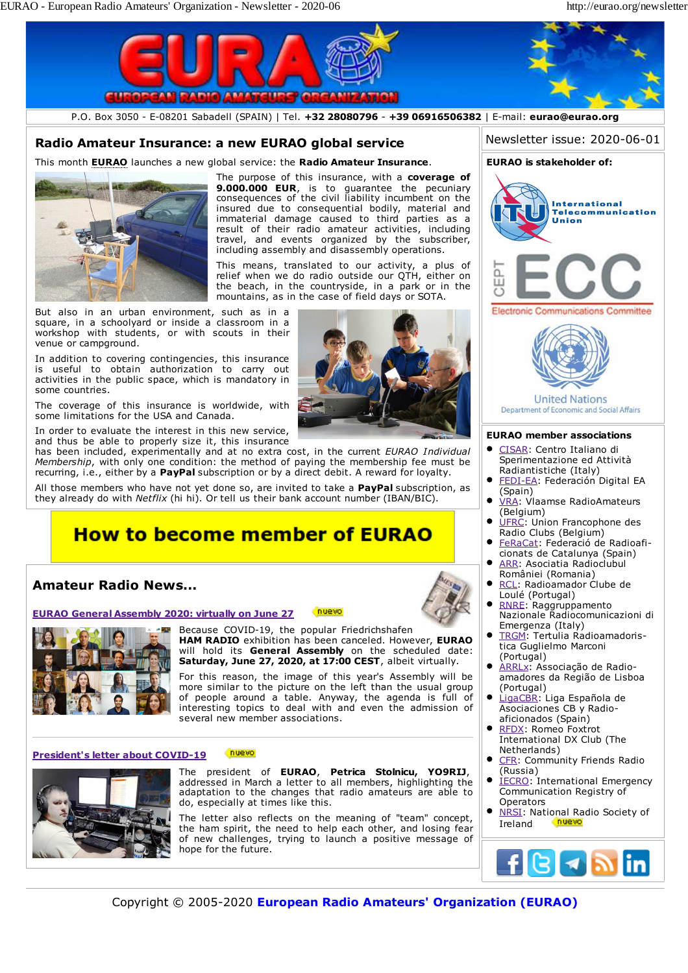